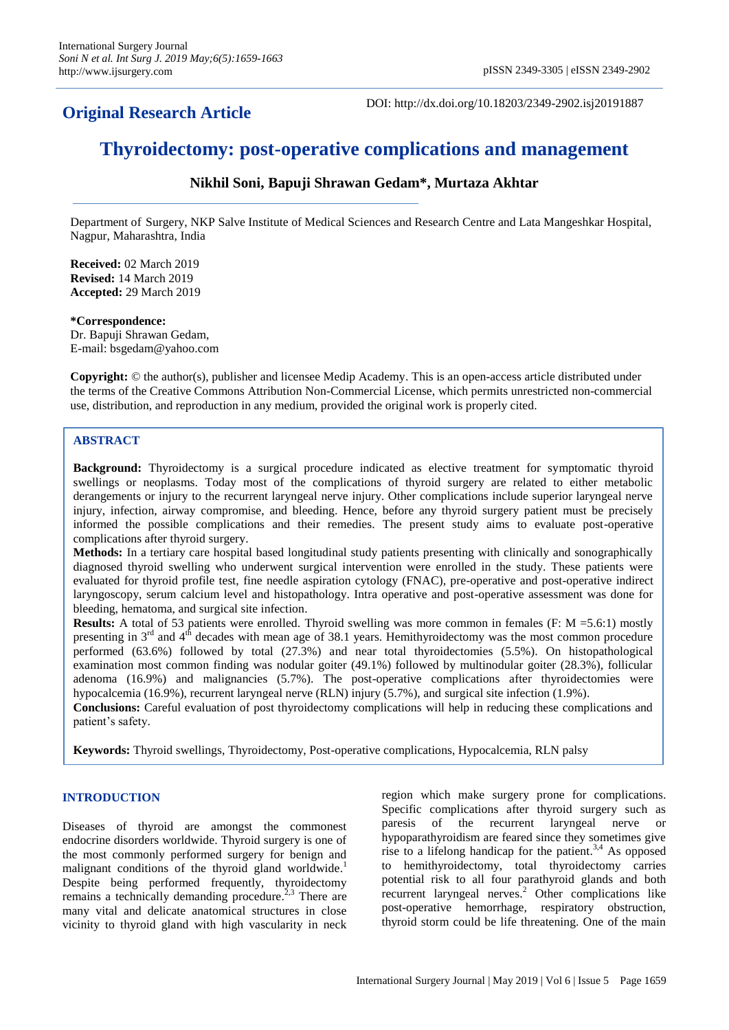## **Original Research Article**

DOI: http://dx.doi.org/10.18203/2349-2902.isj20191887

# **Thyroidectomy: post-operative complications and management**

## **Nikhil Soni, Bapuji Shrawan Gedam\*, Murtaza Akhtar**

Department of Surgery, NKP Salve Institute of Medical Sciences and Research Centre and Lata Mangeshkar Hospital, Nagpur, Maharashtra, India

**Received:** 02 March 2019 **Revised:** 14 March 2019 **Accepted:** 29 March 2019

#### **\*Correspondence:**

Dr. Bapuji Shrawan Gedam, E-mail: bsgedam@yahoo.com

**Copyright:** © the author(s), publisher and licensee Medip Academy. This is an open-access article distributed under the terms of the Creative Commons Attribution Non-Commercial License, which permits unrestricted non-commercial use, distribution, and reproduction in any medium, provided the original work is properly cited.

#### **ABSTRACT**

**Background:** Thyroidectomy is a surgical procedure indicated as elective treatment for symptomatic thyroid swellings or neoplasms. Today most of the complications of thyroid surgery are related to either metabolic derangements or injury to the recurrent laryngeal nerve injury. Other complications include superior laryngeal nerve injury, infection, airway compromise, and bleeding. Hence, before any thyroid surgery patient must be precisely informed the possible complications and their remedies. The present study aims to evaluate post-operative complications after thyroid surgery.

**Methods:** In a tertiary care hospital based longitudinal study patients presenting with clinically and sonographically diagnosed thyroid swelling who underwent surgical intervention were enrolled in the study. These patients were evaluated for thyroid profile test, fine needle aspiration cytology (FNAC), pre-operative and post-operative indirect laryngoscopy, serum calcium level and histopathology. Intra operative and post-operative assessment was done for bleeding, hematoma, and surgical site infection.

**Results:** A total of 53 patients were enrolled. Thyroid swelling was more common in females (F: M =5.6:1) mostly presenting in 3rd and 4th decades with mean age of 38.1 years. Hemithyroidectomy was the most common procedure performed (63.6%) followed by total (27.3%) and near total thyroidectomies (5.5%). On histopathological examination most common finding was nodular goiter (49.1%) followed by multinodular goiter (28.3%), follicular adenoma (16.9%) and malignancies (5.7%). The post-operative complications after thyroidectomies were hypocalcemia (16.9%), recurrent laryngeal nerve (RLN) injury (5.7%), and surgical site infection (1.9%).

**Conclusions:** Careful evaluation of post thyroidectomy complications will help in reducing these complications and patient's safety.

**Keywords:** Thyroid swellings, Thyroidectomy, Post-operative complications, Hypocalcemia, RLN palsy

### **INTRODUCTION**

Diseases of thyroid are amongst the commonest endocrine disorders worldwide. Thyroid surgery is one of the most commonly performed surgery for benign and malignant conditions of the thyroid gland worldwide.<sup>1</sup> Despite being performed frequently, thyroidectomy remains a technically demanding procedure.<sup>2,3</sup> There are many vital and delicate anatomical structures in close vicinity to thyroid gland with high vascularity in neck region which make surgery prone for complications. Specific complications after thyroid surgery such as paresis of the recurrent laryngeal nerve or hypoparathyroidism are feared since they sometimes give rise to a lifelong handicap for the patient.<sup>3,4</sup> As opposed to hemithyroidectomy, total thyroidectomy carries potential risk to all four parathyroid glands and both recurrent laryngeal nerves. <sup>2</sup> Other complications like post-operative hemorrhage, respiratory obstruction, thyroid storm could be life threatening. One of the main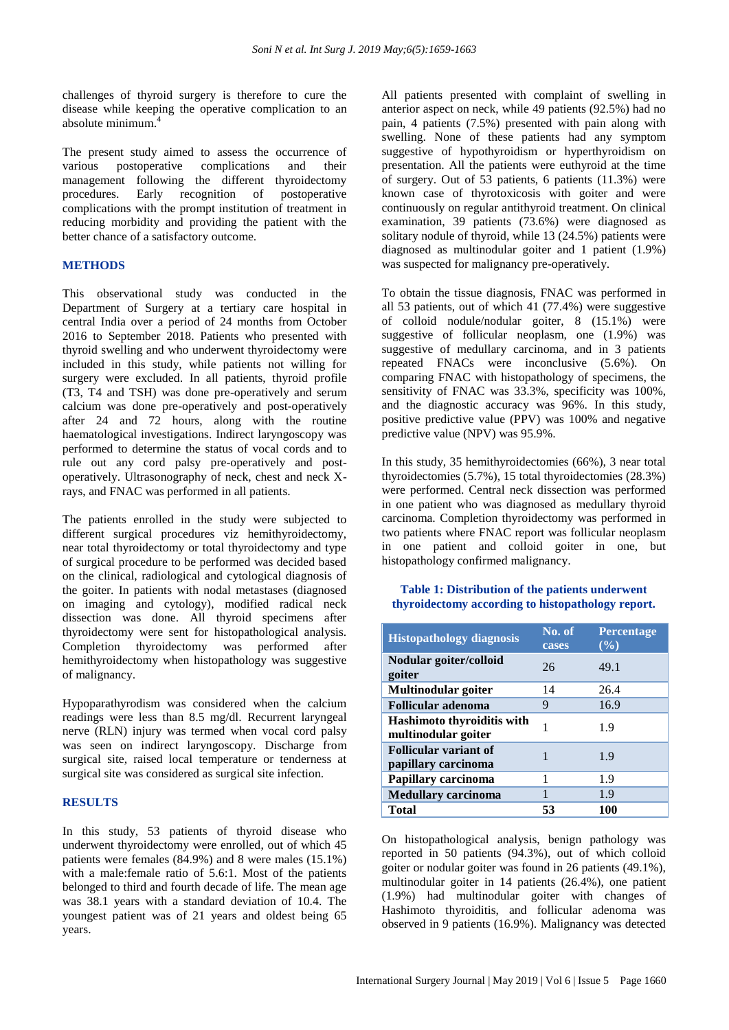challenges of thyroid surgery is therefore to cure the disease while keeping the operative complication to an absolute minimum. 4

The present study aimed to assess the occurrence of various postoperative complications and their management following the different thyroidectomy procedures. Early recognition of postoperative complications with the prompt institution of treatment in reducing morbidity and providing the patient with the better chance of a satisfactory outcome.

#### **METHODS**

This observational study was conducted in the Department of Surgery at a tertiary care hospital in central India over a period of 24 months from October 2016 to September 2018. Patients who presented with thyroid swelling and who underwent thyroidectomy were included in this study, while patients not willing for surgery were excluded. In all patients, thyroid profile (T3, T4 and TSH) was done pre-operatively and serum calcium was done pre-operatively and post-operatively after 24 and 72 hours, along with the routine haematological investigations. Indirect laryngoscopy was performed to determine the status of vocal cords and to rule out any cord palsy pre-operatively and postoperatively. Ultrasonography of neck, chest and neck Xrays, and FNAC was performed in all patients.

The patients enrolled in the study were subjected to different surgical procedures viz hemithyroidectomy, near total thyroidectomy or total thyroidectomy and type of surgical procedure to be performed was decided based on the clinical, radiological and cytological diagnosis of the goiter. In patients with nodal metastases (diagnosed on imaging and cytology), modified radical neck dissection was done. All thyroid specimens after thyroidectomy were sent for histopathological analysis. Completion thyroidectomy was performed after hemithyroidectomy when histopathology was suggestive of malignancy.

Hypoparathyrodism was considered when the calcium readings were less than 8.5 mg/dl. Recurrent laryngeal nerve (RLN) injury was termed when vocal cord palsy was seen on indirect laryngoscopy. Discharge from surgical site, raised local temperature or tenderness at surgical site was considered as surgical site infection.

#### **RESULTS**

In this study, 53 patients of thyroid disease who underwent thyroidectomy were enrolled, out of which 45 patients were females (84.9%) and 8 were males (15.1%) with a male:female ratio of 5.6:1. Most of the patients belonged to third and fourth decade of life. The mean age was 38.1 years with a standard deviation of 10.4. The youngest patient was of 21 years and oldest being 65 years.

All patients presented with complaint of swelling in anterior aspect on neck, while 49 patients (92.5%) had no pain, 4 patients (7.5%) presented with pain along with swelling. None of these patients had any symptom suggestive of hypothyroidism or hyperthyroidism on presentation. All the patients were euthyroid at the time of surgery. Out of 53 patients, 6 patients (11.3%) were known case of thyrotoxicosis with goiter and were continuously on regular antithyroid treatment. On clinical examination, 39 patients (73.6%) were diagnosed as solitary nodule of thyroid, while 13 (24.5%) patients were diagnosed as multinodular goiter and 1 patient (1.9%) was suspected for malignancy pre-operatively.

To obtain the tissue diagnosis, FNAC was performed in all 53 patients, out of which 41 (77.4%) were suggestive of colloid nodule/nodular goiter, 8 (15.1%) were suggestive of follicular neoplasm, one (1.9%) was suggestive of medullary carcinoma, and in 3 patients repeated FNACs were inconclusive (5.6%). On comparing FNAC with histopathology of specimens, the sensitivity of FNAC was 33.3%, specificity was 100%, and the diagnostic accuracy was 96%. In this study, positive predictive value (PPV) was 100% and negative predictive value (NPV) was 95.9%.

In this study, 35 hemithyroidectomies (66%), 3 near total thyroidectomies (5.7%), 15 total thyroidectomies (28.3%) were performed. Central neck dissection was performed in one patient who was diagnosed as medullary thyroid carcinoma. Completion thyroidectomy was performed in two patients where FNAC report was follicular neoplasm in one patient and colloid goiter in one, but histopathology confirmed malignancy.

#### **Table 1: Distribution of the patients underwent thyroidectomy according to histopathology report.**

| <b>Histopathology diagnosis</b>                     | No. of<br>cases | Percentage<br>$(\%)$ |
|-----------------------------------------------------|-----------------|----------------------|
| Nodular goiter/colloid<br>goiter                    | 26              | 49.1                 |
| Multinodular goiter                                 | 14              | 26.4                 |
| <b>Follicular adenoma</b>                           | 9               | 16.9                 |
| Hashimoto thyroiditis with<br>multinodular goiter   | 1               | 1.9                  |
| <b>Follicular variant of</b><br>papillary carcinoma | 1               | 1.9                  |
| Papillary carcinoma                                 | 1               | 1.9                  |
| <b>Medullary carcinoma</b>                          |                 | 1.9                  |
| <b>Total</b>                                        | 53              | 100                  |

On histopathological analysis, benign pathology was reported in 50 patients (94.3%), out of which colloid goiter or nodular goiter was found in 26 patients (49.1%), multinodular goiter in 14 patients (26.4%), one patient (1.9%) had multinodular goiter with changes of Hashimoto thyroiditis, and follicular adenoma was observed in 9 patients (16.9%). Malignancy was detected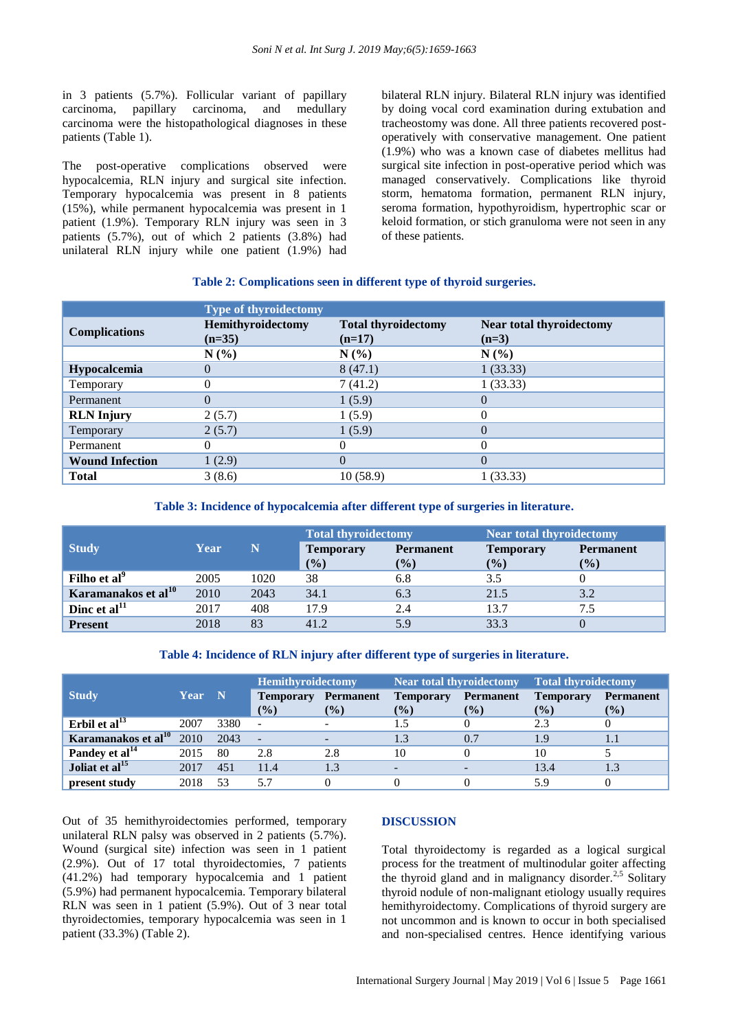in 3 patients (5.7%). Follicular variant of papillary carcinoma, papillary carcinoma, and medullary carcinoma were the histopathological diagnoses in these patients (Table 1).

The post-operative complications observed were hypocalcemia, RLN injury and surgical site infection. Temporary hypocalcemia was present in 8 patients (15%), while permanent hypocalcemia was present in 1 patient (1.9%). Temporary RLN injury was seen in 3 patients (5.7%), out of which 2 patients (3.8%) had unilateral RLN injury while one patient (1.9%) had bilateral RLN injury. Bilateral RLN injury was identified by doing vocal cord examination during extubation and tracheostomy was done. All three patients recovered postoperatively with conservative management. One patient (1.9%) who was a known case of diabetes mellitus had surgical site infection in post-operative period which was managed conservatively. Complications like thyroid storm, hematoma formation, permanent RLN injury, seroma formation, hypothyroidism, hypertrophic scar or keloid formation, or stich granuloma were not seen in any of these patients.

#### **Table 2: Complications seen in different type of thyroid surgeries.**

|                        | <b>Type of thyroidectomy</b>  |                                        |                                     |
|------------------------|-------------------------------|----------------------------------------|-------------------------------------|
| <b>Complications</b>   | Hemithyroidectomy<br>$(n=35)$ | <b>Total thyroidectomy</b><br>$(n=17)$ | Near total thyroidectomy<br>$(n=3)$ |
|                        | N(%                           | N(%                                    | $N(\%)$                             |
| Hypocalcemia           | $\mathbf{0}$                  | 8(47.1)                                | 1(33.33)                            |
| Temporary              |                               | 7(41.2)                                | 1(33.33)                            |
| Permanent              | $\Omega$                      | 1(5.9)                                 | 0                                   |
| <b>RLN</b> Injury      | 2(5.7)                        | 1(5.9)                                 | 0                                   |
| Temporary              | 2(5.7)                        | 1(5.9)                                 | 0                                   |
| Permanent              |                               | 0                                      | 0                                   |
| <b>Wound Infection</b> | 1(2.9)                        | $\Omega$                               | 0                                   |
| <b>Total</b>           | 3(8.6)                        | 10(58.9)                               | 1 (33.33)                           |

#### **Table 3: Incidence of hypocalcemia after different type of surgeries in literature.**

|                                 |      |      | <b>Total thyroidectomy</b> |                  | Near total thyroidectomy |                  |
|---------------------------------|------|------|----------------------------|------------------|--------------------------|------------------|
| <b>Study</b>                    | Year | N    | <b>Temporary</b>           | <b>Permanent</b> | <b>Temporary</b>         | <b>Permanent</b> |
|                                 |      |      | $($ %)                     | (%)              | $(\%)$                   | $\frac{1}{2}$    |
| Filho et al <sup>9</sup>        | 2005 | 1020 | 38                         | 6.8              | 3.5                      |                  |
| Karamanakos et al <sup>10</sup> | 2010 | 2043 | 34.1                       | 6.3              | 21.5                     | 3.2              |
| Dinc et $al11$                  | 2017 | 408  | 17.9                       | 2.4              | 13.7                     | 7.5              |
| <b>Present</b>                  | 2018 | 83   | 41.2                       | 5.9              | 33.3                     |                  |

#### **Table 4: Incidence of RLN injury after different type of surgeries in literature.**

|                                 |        |      | <b>Hemithyroidectomy</b> |                          | <b>Near total thyroidectomy</b> |                  | Total thyroidectomy |                  |
|---------------------------------|--------|------|--------------------------|--------------------------|---------------------------------|------------------|---------------------|------------------|
| <b>Study</b>                    | Year N |      | <b>Temporary</b>         | <b>Permanent</b>         | <b>Temporary</b>                | <b>Permanent</b> | <b>Temporary</b>    | <b>Permanent</b> |
|                                 |        |      | $\frac{9}{6}$            | $(\%)$                   | $(\%)$                          | $($ %)           | $(\%)$              | $(\%)$           |
| Erbil et al $^{13}$             | 2007   | 3380 | $\blacksquare$           |                          |                                 |                  | 2.3                 |                  |
| Karamanakos et al <sup>10</sup> | 2010   | 2043 | $\sim$                   | $\overline{\phantom{a}}$ |                                 | 0.7              | 1.9                 | 1.1              |
| Pandey et al <sup>14</sup>      | 2015   | 80   | 2.8                      | 2.8                      | 10                              |                  | 10                  |                  |
| Joliat et al <sup>15</sup>      | 2017   | 451  | 11.4                     |                          |                                 |                  | 13.4                | 1.3              |
| present study                   | 2018   | 53   | 5.7                      |                          |                                 |                  | 5.9                 |                  |

Out of 35 hemithyroidectomies performed, temporary unilateral RLN palsy was observed in 2 patients (5.7%). Wound (surgical site) infection was seen in 1 patient (2.9%). Out of 17 total thyroidectomies, 7 patients (41.2%) had temporary hypocalcemia and 1 patient (5.9%) had permanent hypocalcemia. Temporary bilateral RLN was seen in 1 patient (5.9%). Out of 3 near total thyroidectomies, temporary hypocalcemia was seen in 1 patient (33.3%) (Table 2).

#### **DISCUSSION**

Total thyroidectomy is regarded as a logical surgical process for the treatment of multinodular goiter affecting the thyroid gland and in malignancy disorder.<sup>2,5</sup> Solitary thyroid nodule of non-malignant etiology usually requires hemithyroidectomy. Complications of thyroid surgery are not uncommon and is known to occur in both specialised and non-specialised centres. Hence identifying various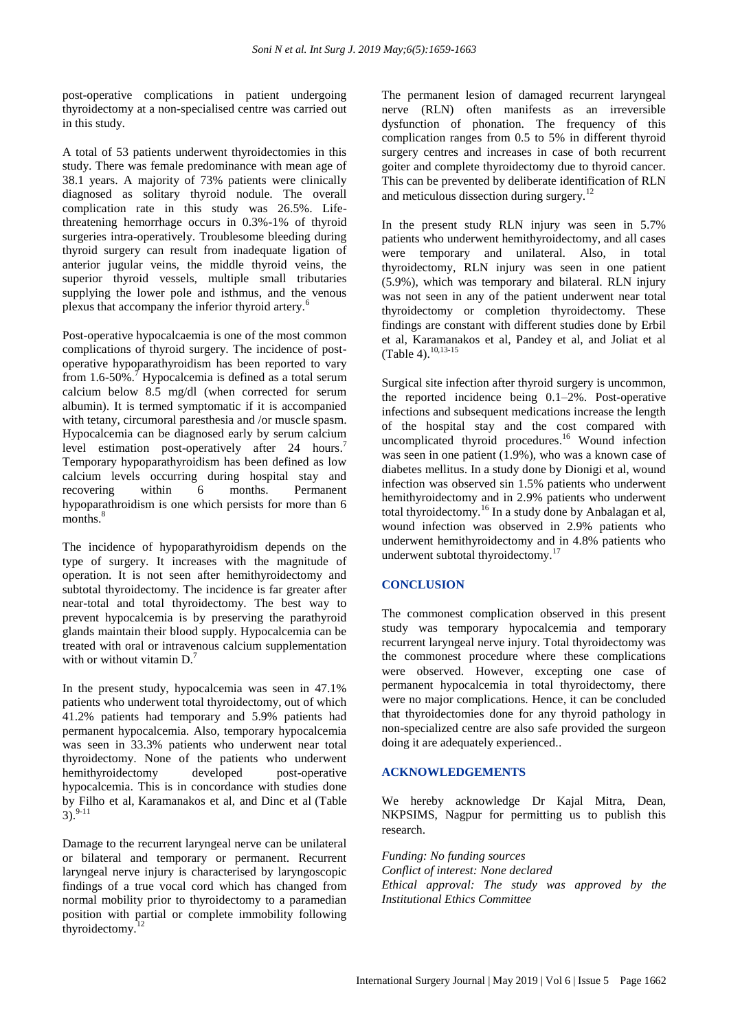post-operative complications in patient undergoing thyroidectomy at a non-specialised centre was carried out in this study.

A total of 53 patients underwent thyroidectomies in this study. There was female predominance with mean age of 38.1 years. A majority of 73% patients were clinically diagnosed as solitary thyroid nodule. The overall complication rate in this study was 26.5%. Lifethreatening hemorrhage occurs in 0.3%-1% of thyroid surgeries intra-operatively. Troublesome bleeding during thyroid surgery can result from inadequate ligation of anterior jugular veins, the middle thyroid veins, the superior thyroid vessels, multiple small tributaries supplying the lower pole and isthmus, and the venous plexus that accompany the inferior thyroid artery.<sup>6</sup>

Post-operative hypocalcaemia is one of the most common complications of thyroid surgery. The incidence of postoperative hypoparathyroidism has been reported to vary from  $1.6$ -50%.<sup>7</sup> Hypocalcemia is defined as a total serum calcium below 8.5 mg/dl (when corrected for serum albumin). It is termed symptomatic if it is accompanied with tetany, circumoral paresthesia and /or muscle spasm. Hypocalcemia can be diagnosed early by serum calcium level estimation post-operatively after 24 hours.<sup>7</sup> Temporary hypoparathyroidism has been defined as low calcium levels occurring during hospital stay and recovering within 6 months. Permanent hypoparathroidism is one which persists for more than 6 months.<sup>8</sup>

The incidence of hypoparathyroidism depends on the type of surgery. It increases with the magnitude of operation. It is not seen after hemithyroidectomy and subtotal thyroidectomy. The incidence is far greater after near-total and total thyroidectomy. The best way to prevent hypocalcemia is by preserving the parathyroid glands maintain their blood supply. Hypocalcemia can be treated with oral or intravenous calcium supplementation with or without vitamin  $D<sup>7</sup>$ 

In the present study, hypocalcemia was seen in 47.1% patients who underwent total thyroidectomy, out of which 41.2% patients had temporary and 5.9% patients had permanent hypocalcemia. Also, temporary hypocalcemia was seen in 33.3% patients who underwent near total thyroidectomy. None of the patients who underwent hemithyroidectomy developed post-operative hypocalcemia. This is in concordance with studies done by Filho et al, Karamanakos et al, and Dinc et al (Table  $3)$ . 9-11

Damage to the recurrent laryngeal nerve can be unilateral or bilateral and temporary or permanent. Recurrent laryngeal nerve injury is characterised by laryngoscopic findings of a true vocal cord which has changed from normal mobility prior to thyroidectomy to a paramedian position with partial or complete immobility following thyroidectomy.<sup>12</sup>

The permanent lesion of damaged recurrent laryngeal nerve (RLN) often manifests as an irreversible dysfunction of phonation. The frequency of this complication ranges from 0.5 to 5% in different thyroid surgery centres and increases in case of both recurrent goiter and complete thyroidectomy due to thyroid cancer. This can be prevented by deliberate identification of RLN and meticulous dissection during surgery. $^{12}$ 

In the present study RLN injury was seen in 5.7% patients who underwent hemithyroidectomy, and all cases were temporary and unilateral. Also, in total thyroidectomy, RLN injury was seen in one patient (5.9%), which was temporary and bilateral. RLN injury was not seen in any of the patient underwent near total thyroidectomy or completion thyroidectomy. These findings are constant with different studies done by Erbil et al, Karamanakos et al, Pandey et al, and Joliat et al (Table 4). 10,13-15

Surgical site infection after thyroid surgery is uncommon, the reported incidence being 0.1–2%. Post-operative infections and subsequent medications increase the length of the hospital stay and the cost compared with uncomplicated thyroid procedures. <sup>16</sup> Wound infection was seen in one patient (1.9%), who was a known case of diabetes mellitus. In a study done by Dionigi et al, wound infection was observed sin 1.5% patients who underwent hemithyroidectomy and in 2.9% patients who underwent total thyroidectomy.<sup>16</sup> In a study done by Anbalagan et al, wound infection was observed in 2.9% patients who underwent hemithyroidectomy and in 4.8% patients who underwent subtotal thyroidectomy.<sup>17</sup>

#### **CONCLUSION**

The commonest complication observed in this present study was temporary hypocalcemia and temporary recurrent laryngeal nerve injury. Total thyroidectomy was the commonest procedure where these complications were observed. However, excepting one case of permanent hypocalcemia in total thyroidectomy, there were no major complications. Hence, it can be concluded that thyroidectomies done for any thyroid pathology in non-specialized centre are also safe provided the surgeon doing it are adequately experienced..

#### **ACKNOWLEDGEMENTS**

We hereby acknowledge Dr Kajal Mitra, Dean, NKPSIMS, Nagpur for permitting us to publish this research.

*Funding: No funding sources Conflict of interest: None declared Ethical approval: The study was approved by the Institutional Ethics Committee*